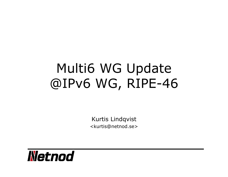# Multi6 WG Update @IPv6 WG, RIPE-46

Kurtis Lindqvist <kurtis@netnod.se>

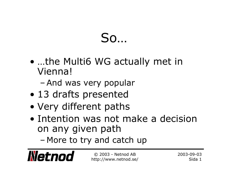### So…

- …the Multi6 WG actually met in Vienna!
	- –And was very popular
- $\bullet$ 13 drafts presented
- $\bullet$ Very different paths

Netnod

- Intention was not make a decision on any given path
	- –- More to try and catch up

© 2003 - Netnod AB http://www.netnod.se/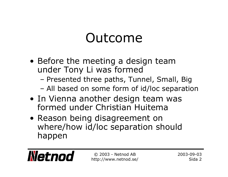# Outcome

- Before the meeting a design team under Tony Li was formed
	- –- Presented three paths, Tunnel, Small, Big
	- All based on some form of id/loc separation
- In Vienna another design team was formed under Christian Huitema
- Reason being disagreement on where/how id/loc separation should happen



© 2003 - Netnod AB http://www.netnod.se/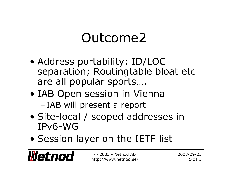# Outcome2

- $\bullet$ • Address portability; ID/LOC separation; Routingtable bloat etc are all popular sports….
- IAB Open session in Vienna
	- –- IAB will present a report

*Netnod* 

- $\bullet$ • Site-local / scoped addresses in IPv6-WG
- Session layer on the IETF list

© 2003 - Netnod AB http://www.netnod.se/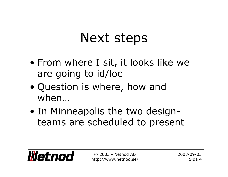## Next steps

- From where I sit, it looks like we are going to id/loc
- $\bullet$  Question is where, how and when…
- •• In Minneapolis the two designteams are scheduled to present



© 2003 - Netnod AB http://www.netnod.se/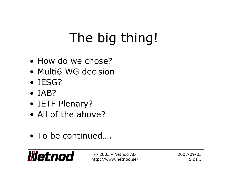# The big thing!

- How do we chose?
- Multi6 WG decision
- IESG?

**Netnod** 

- IAB?
- IETF Plenary?
- All of the above?
- To be continued….

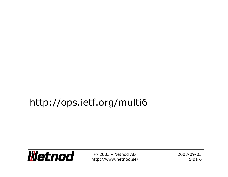### http://ops.ietf.org/multi6



© 2003 - Netnod AB http://www.netnod.se/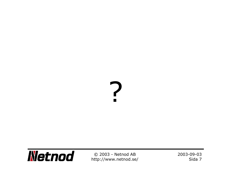# ?



© 2003 - Netnod AB http://www.netnod.se/